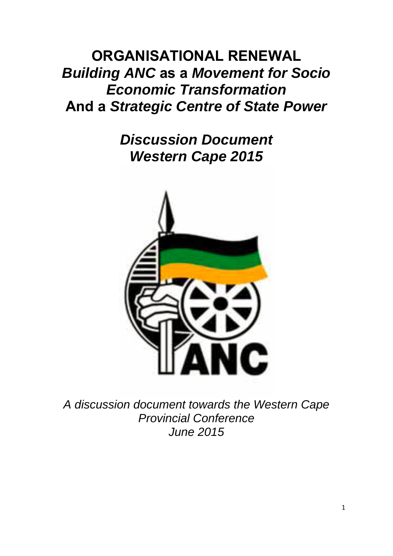# **ORGANISATIONAL RENEWAL**  *Building ANC* **as a** *Movement for Socio Economic Transformation*  **And a** *Strategic Centre of State Power*

*Discussion Document Western Cape 2015* 



*A discussion document towards the Western Cape Provincial Conference June 2015*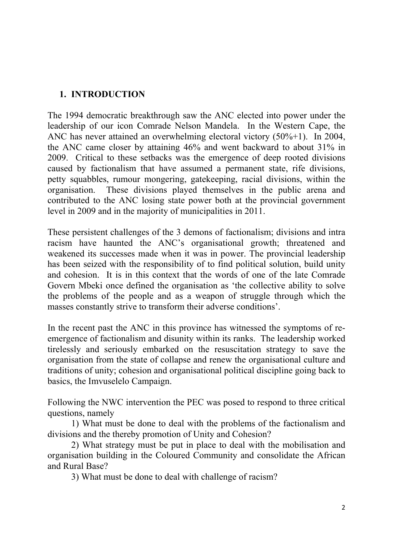#### **1. INTRODUCTION**

The 1994 democratic breakthrough saw the ANC elected into power under the leadership of our icon Comrade Nelson Mandela. In the Western Cape, the ANC has never attained an overwhelming electoral victory (50%+1). In 2004, the ANC came closer by attaining 46% and went backward to about 31% in 2009. Critical to these setbacks was the emergence of deep rooted divisions caused by factionalism that have assumed a permanent state, rife divisions, petty squabbles, rumour mongering, gatekeeping, racial divisions, within the organisation. These divisions played themselves in the public arena and contributed to the ANC losing state power both at the provincial government level in 2009 and in the majority of municipalities in 2011.

These persistent challenges of the 3 demons of factionalism; divisions and intra racism have haunted the ANC's organisational growth; threatened and weakened its successes made when it was in power. The provincial leadership has been seized with the responsibility of to find political solution, build unity and cohesion. It is in this context that the words of one of the late Comrade Govern Mbeki once defined the organisation as 'the collective ability to solve the problems of the people and as a weapon of struggle through which the masses constantly strive to transform their adverse conditions'.

In the recent past the ANC in this province has witnessed the symptoms of reemergence of factionalism and disunity within its ranks. The leadership worked tirelessly and seriously embarked on the resuscitation strategy to save the organisation from the state of collapse and renew the organisational culture and traditions of unity; cohesion and organisational political discipline going back to basics, the Imvuselelo Campaign.

Following the NWC intervention the PEC was posed to respond to three critical questions, namely

1) What must be done to deal with the problems of the factionalism and divisions and the thereby promotion of Unity and Cohesion?

2) What strategy must be put in place to deal with the mobilisation and organisation building in the Coloured Community and consolidate the African and Rural Base?

3) What must be done to deal with challenge of racism?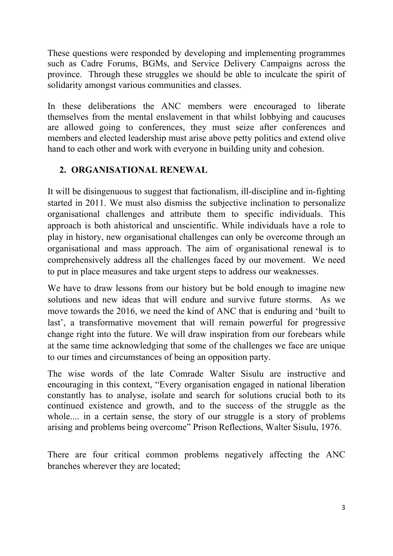These questions were responded by developing and implementing programmes such as Cadre Forums, BGMs, and Service Delivery Campaigns across the province. Through these struggles we should be able to inculcate the spirit of solidarity amongst various communities and classes.

In these deliberations the ANC members were encouraged to liberate themselves from the mental enslavement in that whilst lobbying and caucuses are allowed going to conferences, they must seize after conferences and members and elected leadership must arise above petty politics and extend olive hand to each other and work with everyone in building unity and cohesion.

### **2. ORGANISATIONAL RENEWAL**

It will be disingenuous to suggest that factionalism, ill-discipline and in-fighting started in 2011. We must also dismiss the subjective inclination to personalize organisational challenges and attribute them to specific individuals. This approach is both ahistorical and unscientific. While individuals have a role to play in history, new organisational challenges can only be overcome through an organisational and mass approach. The aim of organisational renewal is to comprehensively address all the challenges faced by our movement. We need to put in place measures and take urgent steps to address our weaknesses.

We have to draw lessons from our history but be bold enough to imagine new solutions and new ideas that will endure and survive future storms. As we move towards the 2016, we need the kind of ANC that is enduring and 'built to last', a transformative movement that will remain powerful for progressive change right into the future. We will draw inspiration from our forebears while at the same time acknowledging that some of the challenges we face are unique to our times and circumstances of being an opposition party.

The wise words of the late Comrade Walter Sisulu are instructive and encouraging in this context, "Every organisation engaged in national liberation constantly has to analyse, isolate and search for solutions crucial both to its continued existence and growth, and to the success of the struggle as the whole.... in a certain sense, the story of our struggle is a story of problems arising and problems being overcome" Prison Reflections, Walter Sisulu, 1976.

There are four critical common problems negatively affecting the ANC branches wherever they are located;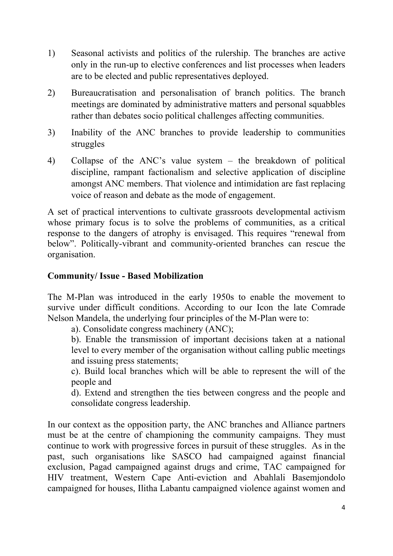- 1) Seasonal activists and politics of the rulership. The branches are active only in the run-up to elective conferences and list processes when leaders are to be elected and public representatives deployed.
- 2) Bureaucratisation and personalisation of branch politics. The branch meetings are dominated by administrative matters and personal squabbles rather than debates socio political challenges affecting communities.
- 3) Inability of the ANC branches to provide leadership to communities struggles
- 4) Collapse of the ANC's value system the breakdown of political discipline, rampant factionalism and selective application of discipline amongst ANC members. That violence and intimidation are fast replacing voice of reason and debate as the mode of engagement.

A set of practical interventions to cultivate grassroots developmental activism whose primary focus is to solve the problems of communities, as a critical response to the dangers of atrophy is envisaged. This requires "renewal from below". Politically-vibrant and community-oriented branches can rescue the organisation.

#### **Community/ Issue - Based Mobilization**

The M-Plan was introduced in the early 1950s to enable the movement to survive under difficult conditions. According to our Icon the late Comrade Nelson Mandela, the underlying four principles of the M-Plan were to:

a). Consolidate congress machinery (ANC);

b). Enable the transmission of important decisions taken at a national level to every member of the organisation without calling public meetings and issuing press statements;

c). Build local branches which will be able to represent the will of the people and

d). Extend and strengthen the ties between congress and the people and consolidate congress leadership.

In our context as the opposition party, the ANC branches and Alliance partners must be at the centre of championing the community campaigns. They must continue to work with progressive forces in pursuit of these struggles. As in the past, such organisations like SASCO had campaigned against financial exclusion, Pagad campaigned against drugs and crime, TAC campaigned for HIV treatment, Western Cape Anti-eviction and Abahlali Basemjondolo campaigned for houses, Ilitha Labantu campaigned violence against women and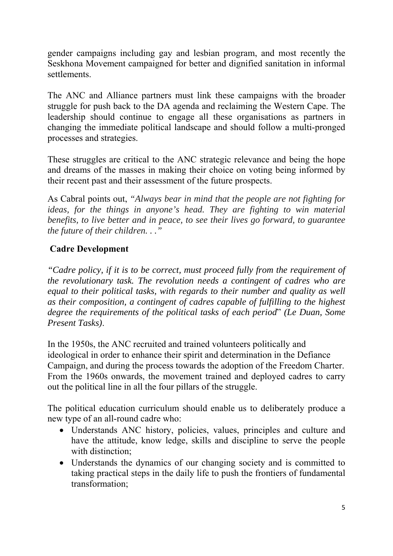gender campaigns including gay and lesbian program, and most recently the Seskhona Movement campaigned for better and dignified sanitation in informal settlements.

The ANC and Alliance partners must link these campaigns with the broader struggle for push back to the DA agenda and reclaiming the Western Cape. The leadership should continue to engage all these organisations as partners in changing the immediate political landscape and should follow a multi-pronged processes and strategies.

These struggles are critical to the ANC strategic relevance and being the hope and dreams of the masses in making their choice on voting being informed by their recent past and their assessment of the future prospects.

As Cabral points out, *"Always bear in mind that the people are not fighting for ideas, for the things in anyone's head. They are fighting to win material benefits, to live better and in peace, to see their lives go forward, to guarantee the future of their children. . ."*

### **Cadre Development**

*"Cadre policy, if it is to be correct, must proceed fully from the requirement of the revolutionary task. The revolution needs a contingent of cadres who are equal to their political tasks, with regards to their number and quality as well as their composition, a contingent of cadres capable of fulfilling to the highest degree the requirements of the political tasks of each period*" *(Le Duan, Some Present Tasks)*.

In the 1950s, the ANC recruited and trained volunteers politically and ideological in order to enhance their spirit and determination in the Defiance Campaign, and during the process towards the adoption of the Freedom Charter. From the 1960s onwards, the movement trained and deployed cadres to carry out the political line in all the four pillars of the struggle.

The political education curriculum should enable us to deliberately produce a new type of an all-round cadre who:

- Understands ANC history, policies, values, principles and culture and have the attitude, know ledge, skills and discipline to serve the people with distinction:
- Understands the dynamics of our changing society and is committed to taking practical steps in the daily life to push the frontiers of fundamental transformation;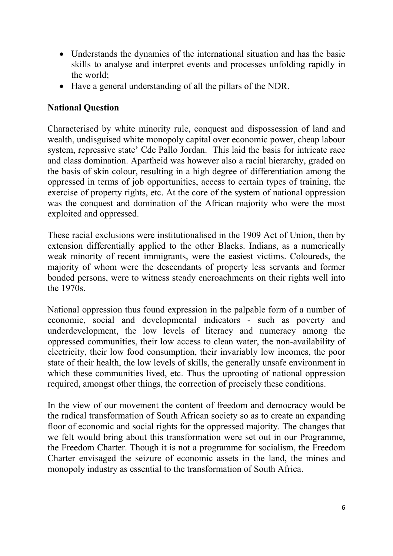- Understands the dynamics of the international situation and has the basic skills to analyse and interpret events and processes unfolding rapidly in the world;
- Have a general understanding of all the pillars of the NDR.

### **National Question**

Characterised by white minority rule, conquest and dispossession of land and wealth, undisguised white monopoly capital over economic power, cheap labour system, repressive state' Cde Pallo Jordan. This laid the basis for intricate race and class domination. Apartheid was however also a racial hierarchy, graded on the basis of skin colour, resulting in a high degree of differentiation among the oppressed in terms of job opportunities, access to certain types of training, the exercise of property rights, etc. At the core of the system of national oppression was the conquest and domination of the African majority who were the most exploited and oppressed.

These racial exclusions were institutionalised in the 1909 Act of Union, then by extension differentially applied to the other Blacks. Indians, as a numerically weak minority of recent immigrants, were the easiest victims. Coloureds, the majority of whom were the descendants of property less servants and former bonded persons, were to witness steady encroachments on their rights well into the 1970s.

National oppression thus found expression in the palpable form of a number of economic, social and developmental indicators - such as poverty and underdevelopment, the low levels of literacy and numeracy among the oppressed communities, their low access to clean water, the non-availability of electricity, their low food consumption, their invariably low incomes, the poor state of their health, the low levels of skills, the generally unsafe environment in which these communities lived, etc. Thus the uprooting of national oppression required, amongst other things, the correction of precisely these conditions.

In the view of our movement the content of freedom and democracy would be the radical transformation of South African society so as to create an expanding floor of economic and social rights for the oppressed majority. The changes that we felt would bring about this transformation were set out in our Programme, the Freedom Charter. Though it is not a programme for socialism, the Freedom Charter envisaged the seizure of economic assets in the land, the mines and monopoly industry as essential to the transformation of South Africa.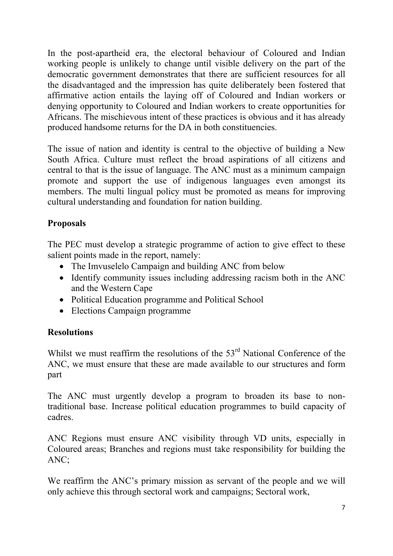In the post-apartheid era, the electoral behaviour of Coloured and Indian working people is unlikely to change until visible delivery on the part of the democratic government demonstrates that there are sufficient resources for all the disadvantaged and the impression has quite deliberately been fostered that affirmative action entails the laying off of Coloured and Indian workers or denying opportunity to Coloured and Indian workers to create opportunities for Africans. The mischievous intent of these practices is obvious and it has already produced handsome returns for the DA in both constituencies.

The issue of nation and identity is central to the objective of building a New South Africa. Culture must reflect the broad aspirations of all citizens and central to that is the issue of language. The ANC must as a minimum campaign promote and support the use of indigenous languages even amongst its members. The multi lingual policy must be promoted as means for improving cultural understanding and foundation for nation building.

### **Proposals**

The PEC must develop a strategic programme of action to give effect to these salient points made in the report, namely:

- The Imvuselelo Campaign and building ANC from below
- Identify community issues including addressing racism both in the ANC and the Western Cape
- Political Education programme and Political School
- Elections Campaign programme

#### **Resolutions**

Whilst we must reaffirm the resolutions of the  $53<sup>rd</sup>$  National Conference of the ANC, we must ensure that these are made available to our structures and form part

The ANC must urgently develop a program to broaden its base to nontraditional base. Increase political education programmes to build capacity of cadres.

ANC Regions must ensure ANC visibility through VD units, especially in Coloured areas; Branches and regions must take responsibility for building the ANC;

We reaffirm the ANC's primary mission as servant of the people and we will only achieve this through sectoral work and campaigns; Sectoral work,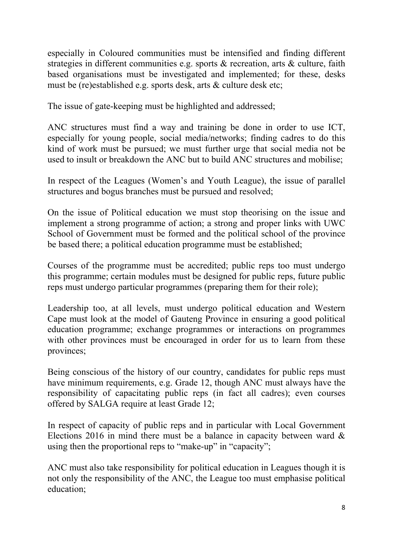especially in Coloured communities must be intensified and finding different strategies in different communities e.g. sports & recreation, arts & culture, faith based organisations must be investigated and implemented; for these, desks must be (re)established e.g. sports desk, arts & culture desk etc;

The issue of gate-keeping must be highlighted and addressed;

ANC structures must find a way and training be done in order to use ICT, especially for young people, social media/networks; finding cadres to do this kind of work must be pursued; we must further urge that social media not be used to insult or breakdown the ANC but to build ANC structures and mobilise;

In respect of the Leagues (Women's and Youth League), the issue of parallel structures and bogus branches must be pursued and resolved;

On the issue of Political education we must stop theorising on the issue and implement a strong programme of action; a strong and proper links with UWC School of Government must be formed and the political school of the province be based there; a political education programme must be established;

Courses of the programme must be accredited; public reps too must undergo this programme; certain modules must be designed for public reps, future public reps must undergo particular programmes (preparing them for their role);

Leadership too, at all levels, must undergo political education and Western Cape must look at the model of Gauteng Province in ensuring a good political education programme; exchange programmes or interactions on programmes with other provinces must be encouraged in order for us to learn from these provinces;

Being conscious of the history of our country, candidates for public reps must have minimum requirements, e.g. Grade 12, though ANC must always have the responsibility of capacitating public reps (in fact all cadres); even courses offered by SALGA require at least Grade 12;

In respect of capacity of public reps and in particular with Local Government Elections 2016 in mind there must be a balance in capacity between ward  $\&$ using then the proportional reps to "make-up" in "capacity";

ANC must also take responsibility for political education in Leagues though it is not only the responsibility of the ANC, the League too must emphasise political education;